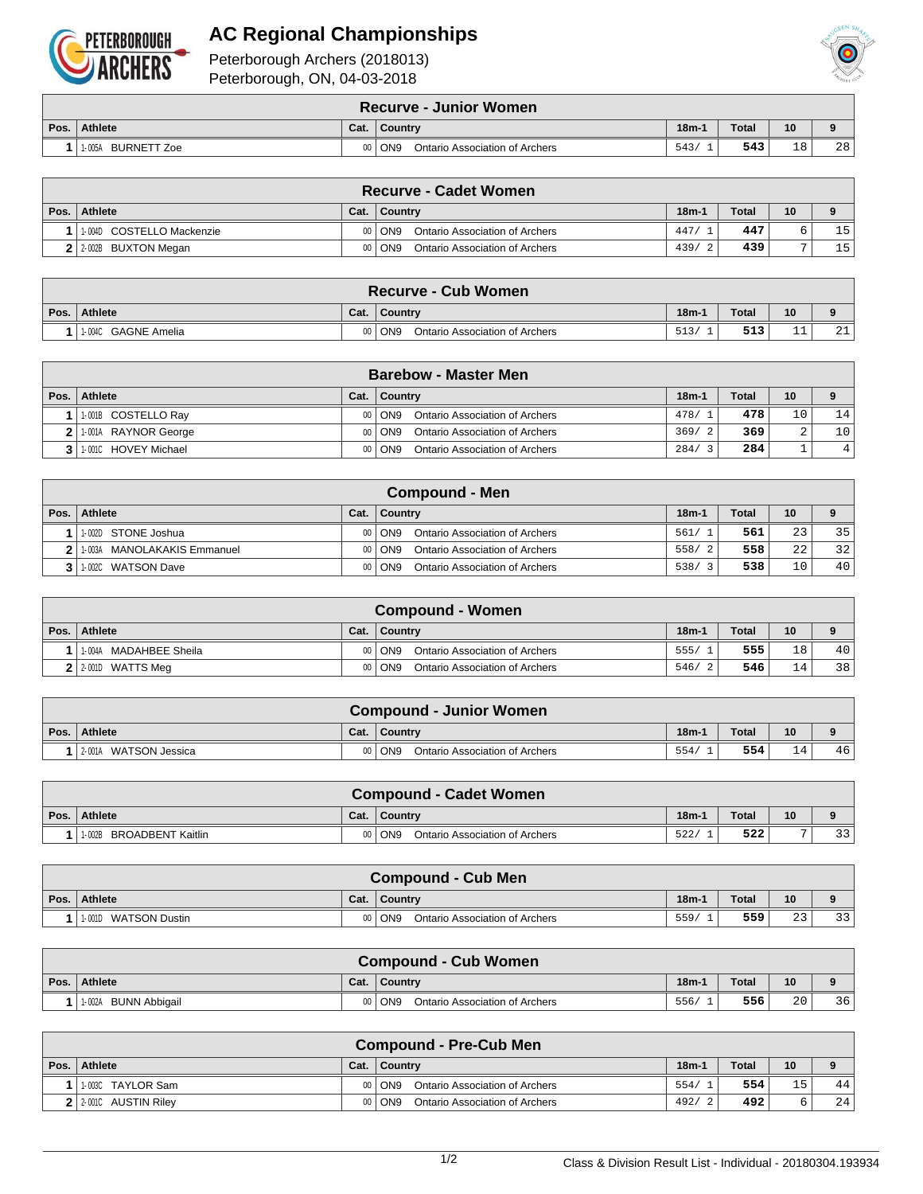

## **AC Regional Championships**





Peterborough, ON, 04-03-2018

|      | <b>Recurve - Junior Women</b> |      |                                                   |         |              |    |             |  |  |  |  |
|------|-------------------------------|------|---------------------------------------------------|---------|--------------|----|-------------|--|--|--|--|
| Pos. | Athlete                       | Cat. | Country                                           | $18m-1$ | <b>Total</b> | 10 | $\mathbf o$ |  |  |  |  |
|      | <b>BURNETT Zoe</b><br>1-005A  |      | ON <sub>9</sub><br>Ontario Association of Archers | 543/    | 543          | 18 | 28          |  |  |  |  |

| <b>Recurve - Cadet Women</b> |      |                                          |         |              |    |                 |  |  |  |  |
|------------------------------|------|------------------------------------------|---------|--------------|----|-----------------|--|--|--|--|
| Pos. Athlete                 | Cat. | $\overline{\phantom{a}}$ Country         | $18m-1$ | <b>Total</b> | 10 |                 |  |  |  |  |
| 1-004D COSTELLO Mackenzie    |      | Ontario Association of Archers<br>00 ON9 | 447/    | 447          |    | 15 <sub>1</sub> |  |  |  |  |
| 2 2:002B BUXTON Megan        |      | 00 ON9<br>Ontario Association of Archers | 439/    | 439          |    | 15 <sub>1</sub> |  |  |  |  |

| <b>Recurve - Cub Women</b> |      |                                            |         |              |           |                 |  |  |  |  |
|----------------------------|------|--------------------------------------------|---------|--------------|-----------|-----------------|--|--|--|--|
| Pos. Athlete               | Cat. | ∣ Country                                  | $18m-1$ | <b>Total</b> | 10        |                 |  |  |  |  |
| 1-004C GAGNE Amelia        |      | 00   ON9<br>Ontario Association of Archers | 513/    | 513          | <b>__</b> | $\bigcap$<br>᠘⊥ |  |  |  |  |

| <b>Barebow - Master Men</b> |      |                                            |         |              |    |                 |  |  |  |  |
|-----------------------------|------|--------------------------------------------|---------|--------------|----|-----------------|--|--|--|--|
| Pos. Athlete                | Cat. | Country                                    | $18m-1$ | <b>Total</b> | 10 |                 |  |  |  |  |
| 1-001B COSTELLO Ray         |      | Ontario Association of Archers<br>00   ON9 | 478/1   | 478          | 10 | 14              |  |  |  |  |
| 1-001A RAYNOR George        |      | Ontario Association of Archers<br>00   ON9 | 369/2   | 369          |    | 10 <sub>1</sub> |  |  |  |  |
| 1-001C HOVEY Michael        |      | Ontario Association of Archers<br>00   ON9 | 284/    | 284          |    | 4               |  |  |  |  |

| <b>Compound - Men</b>       |      |                                            |             |       |      |                 |  |  |  |  |
|-----------------------------|------|--------------------------------------------|-------------|-------|------|-----------------|--|--|--|--|
| Pos.   Athlete              | Cat. | <b>Country</b>                             | $18m-1$     | Total | 10   | $\alpha$        |  |  |  |  |
| 1-002D STONE Joshua         |      | Ontario Association of Archers<br>00   ON9 | 561/        | 561   | 23   | 35              |  |  |  |  |
| 1-003A MANOLAKAKIS Emmanuel | 001  | Ontario Association of Archers<br>  ON9    | 558/<br>- 2 | 558   | 2.2. | 32              |  |  |  |  |
| 1-002C WATSON Dave          |      | Ontario Association of Archers<br>00   ON9 | 538/<br>્ર  | 538   | 10   | 40 <sup>1</sup> |  |  |  |  |

| Compound - Women       |      |                                                     |         |              |    |     |  |  |  |  |
|------------------------|------|-----------------------------------------------------|---------|--------------|----|-----|--|--|--|--|
| Pos.   Athlete         | Cat. | ∣ Country                                           | $18m-1$ | <b>Total</b> | 10 |     |  |  |  |  |
| 1-004A MADAHBEE Sheila |      | 00 ON9<br>Ontario Association of Archers            | 555/    | 555          | 18 | 40  |  |  |  |  |
| $2$ 2.001D WATTS Meq   |      | $00  $ ON9<br><b>Ontario Association of Archers</b> | 546/    | 546          | 14 | 381 |  |  |  |  |

|      | <b>Compound - Junior Women</b> |      |                                            |         |       |                 |    |  |  |  |  |
|------|--------------------------------|------|--------------------------------------------|---------|-------|-----------------|----|--|--|--|--|
| Pos. | Athlete                        | Cat. | <b>Country</b>                             | $18m-1$ | Total | 10 <sup>°</sup> |    |  |  |  |  |
|      | 2-001A WATSON Jessica          |      | 00   ON9<br>Ontario Association of Archers | 554/    | 554   | 14              | 46 |  |  |  |  |

|      | <b>Compound - Cadet Women</b>          |      |                                            |         |       |    |    |  |  |  |  |
|------|----------------------------------------|------|--------------------------------------------|---------|-------|----|----|--|--|--|--|
| Pos. | Athlete                                | Cat. | Country                                    | $18m-1$ | Total | 10 |    |  |  |  |  |
|      | <b>BROADBENT Kaitlin</b><br>$'$ 1-002B |      | 00   ON9<br>Ontario Association of Archers | 522.    | 522   |    | 33 |  |  |  |  |

|      | Compound - Cub Men   |      |                                            |         |       |    |    |  |  |  |  |
|------|----------------------|------|--------------------------------------------|---------|-------|----|----|--|--|--|--|
| Pos. | Athlete              | Cat. | Country                                    | $18m-1$ | Total | 10 |    |  |  |  |  |
|      | 1-001D WATSON Dustin |      | 00   ON9<br>Ontario Association of Archers | 559/    | 559   | 23 | 33 |  |  |  |  |

|      | <b>Compound - Cub Women</b>    |      |                                                   |         |              |                 |    |  |  |  |  |
|------|--------------------------------|------|---------------------------------------------------|---------|--------------|-----------------|----|--|--|--|--|
| Pos. | Athlete                        | Cat. | Country                                           | $18m-1$ | <b>Total</b> | 10 <sup>°</sup> |    |  |  |  |  |
|      | <b>BUNN Abbigail</b><br>1-002A |      | ON <sub>9</sub><br>Ontario Association of Archers | 556/    | 556          | 20              | 36 |  |  |  |  |

| <b>Compound - Pre-Cub Men</b> |      |                                              |         |              |    |             |  |  |  |  |
|-------------------------------|------|----------------------------------------------|---------|--------------|----|-------------|--|--|--|--|
| Pos.   Athlete                | Cat. | <b>Country</b>                               | $18m-1$ | <b>Total</b> | 10 | $\mathbf o$ |  |  |  |  |
| 11-003C TAYLOR Sam            |      | Ontario Association of Archers<br>00 ON9     | 554/    | 554          | 15 | 44          |  |  |  |  |
| 2 2 2 0010 AUSTIN Riley       |      | Ontario Association of Archers<br>$00  $ ON9 | 492/    | 492          |    | 241         |  |  |  |  |